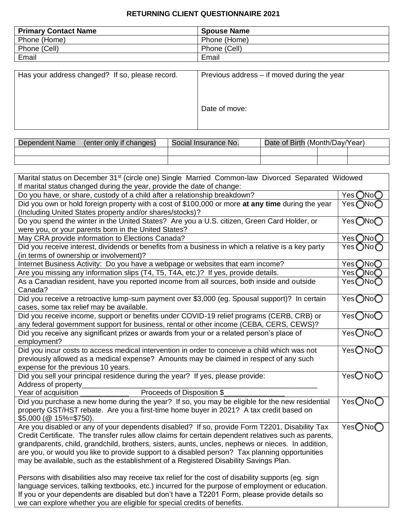## **RETURNING CLIENT QUESTIONNAIRE 2021**

| <b>Primary Contact Name</b> | <b>Spouse Name</b> |
|-----------------------------|--------------------|
| Phone (Home)                | Phone (Home)       |
| Phone (Cell)                | Phone (Cell)       |
| Email                       | Email              |

| Has your address changed? If so, please record. | Previous address – if moved during the year |
|-------------------------------------------------|---------------------------------------------|
|                                                 | Date of move:                               |

| Dependent Name | (enter only if changes) | Social Insurance No. | Date of Birth (Month/Day/Year) |  |  |
|----------------|-------------------------|----------------------|--------------------------------|--|--|
|                |                         |                      |                                |  |  |
|                |                         |                      |                                |  |  |

| Marital status on December 31 <sup>st</sup> (circle one) Single Married Common-law Divorced Separated Widowed |                          |  |
|---------------------------------------------------------------------------------------------------------------|--------------------------|--|
| If marital status changed during the year, provide the date of change:                                        |                          |  |
| Do you have, or share, custody of a child after a relationship breakdown?                                     | YesONoO                  |  |
| Did you own or hold foreign property with a cost of \$100,000 or more at any time during the year             | Yes ONo○                 |  |
| (Including United States property and/or shares/stocks)?                                                      |                          |  |
| Do you spend the winter in the United States? Are you a U.S. citizen, Green Card Holder, or                   | Yes ONoo                 |  |
| were you, or your parents born in the United States?                                                          |                          |  |
| May CRA provide information to Elections Canada?                                                              | YesONoO                  |  |
| Did you receive interest, dividends or benefits from a business in which a relative is a key party            | Yes ◯No ◯                |  |
| (in terms of ownership or involvement)?                                                                       |                          |  |
| Internet Business Activity: Do you have a webpage or websites that earn income?                               | Yes ONoO                 |  |
| Are you missing any information slips (T4, T5, T4A, etc.)? If yes, provide details.                           | Yes ONoO                 |  |
| As a Canadian resident, have you reported income from all sources, both inside and outside                    | YesONoO                  |  |
| Canada?                                                                                                       |                          |  |
| Did you receive a retroactive lump-sum payment over \$3,000 (eg. Spousal support)? In certain                 | Yes ONoO                 |  |
| cases, some tax relief may be available.                                                                      |                          |  |
| Did you receive income, support or benefits under COVID-19 relief programs (CERB, CRB) or                     | Yes ONoO                 |  |
| any federal government support for business, rental or other income (CEBA, CERS, CEWS)?                       |                          |  |
| Did you receive any significant prizes or awards from your or a related person's place of                     | Yes ONoO                 |  |
| employment?                                                                                                   |                          |  |
| Did you incur costs to access medical intervention in order to conceive a child which was not                 | YesONoO                  |  |
| previously allowed as a medical expense? Amounts may be claimed in respect of any such                        |                          |  |
| expense for the previous 10 years.                                                                            |                          |  |
| Did you sell your principal residence during the year? If yes, please provide:                                | Yes <b>O</b> No <b>O</b> |  |
| Address of property_                                                                                          |                          |  |
| Proceeds of Disposition \$<br>Year of acquisition                                                             |                          |  |
| Did you purchase a new home during the year? If so, you may be eligible for the new residential               | Yes ONo O                |  |
| property GST/HST rebate. Are you a first-time home buyer in 2021? A tax credit based on                       |                          |  |
| $$5,000$ ( $@$ 15%=\$750).                                                                                    |                          |  |
| Are you disabled or any of your dependents disabled? If so, provide Form T2201, Disability Tax                | YesONoO                  |  |
| Credit Certificate. The transfer rules allow claims for certain dependent relatives such as parents,          |                          |  |
| grandparents, child, grandchild, brothers, sisters, aunts, uncles, nephews or nieces. In addition,            |                          |  |
| are you, or would you like to provide support to a disabled person? Tax planning opportunities                |                          |  |
| may be available, such as the establishment of a Registered Disability Savings Plan.                          |                          |  |
|                                                                                                               |                          |  |
| Persons with disabilities also may receive tax relief for the cost of disability supports (eg. sign           |                          |  |
| language services, talking textbooks, etc.) incurred for the purpose of employment or education.              |                          |  |
| If you or your dependents are disabled but don't have a T2201 Form, please provide details so                 |                          |  |
| we can explore whether you are eligible for special credits of benefits.                                      |                          |  |